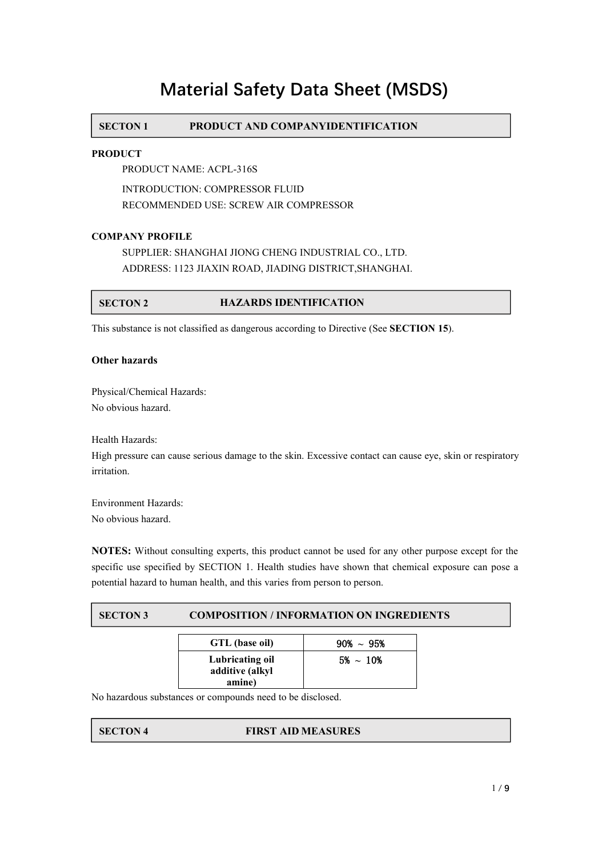# **Material Safety Data Sheet (MSDS)**

# **SECTON 1 PRODUCT AND COMPANYIDENTIFICATION**

### **PRODUCT**

PRODUCT NAME: ACPL-316S

INTRODUCTION: COMPRESSOR FLUID RECOMMENDED USE: SCREW AIR COMPRESSOR

### **COMPANY PROFILE**

SUPPLIER: SHANGHAI JIONG CHENG INDUSTRIAL CO., LTD. ADDRESS: 1123 JIAXIN ROAD, JIADING DISTRICT,SHANGHAI.

# **SECTON 2 HAZARDS IDENTIFICATION**

This substance is not classified as dangerous according to Directive (See **SECTION 15**).

#### **Other hazards**

Physical/Chemical Hazards: No obvious hazard.

Health Hazards:

High pressure can cause serious damage to the skin. Excessive contact can cause eye, skin or respiratory irritation.

Environment Hazards: No obvious hazard.

**NOTES:** Without consulting experts, this product cannot be used for any other purpose except for the specific use specified by SECTION 1. Health studies have shown that chemical exposure can pose a potential hazard to human health, and this varies from person to person.

# **SECTON 3 COMPOSITION / INFORMATION ON INGREDIENTS**

| GTL (base oil)                               | $90\% \sim 95\%$ |
|----------------------------------------------|------------------|
| Lubricating oil<br>additive (alkyl<br>amine) | $5\% \sim 10\%$  |

No hazardous substances or compounds need to be disclosed.

# **SECTON 4 FIRST AID MEASURES**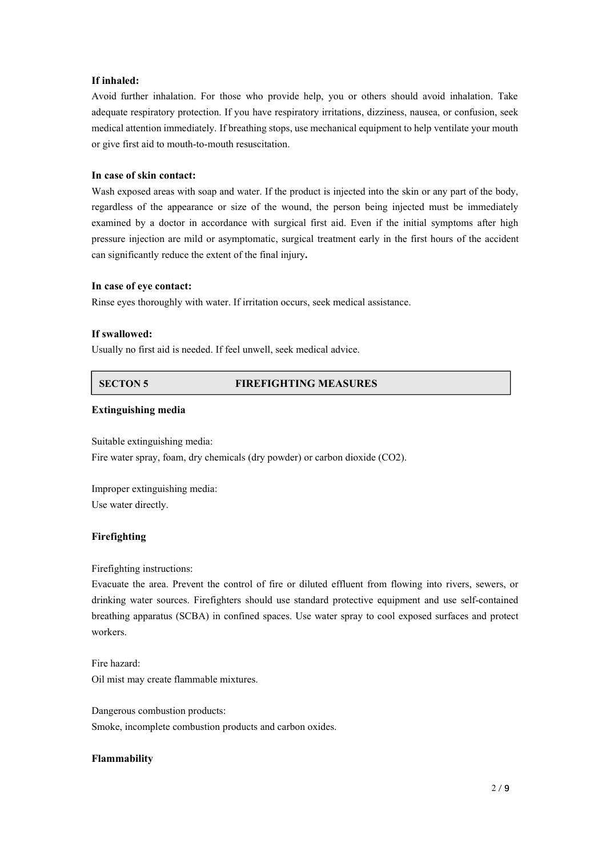#### **If inhaled:**

Avoid further inhalation. For those who provide help, you or others should avoid inhalation. Take adequate respiratory protection. If you have respiratory irritations, dizziness, nausea, or confusion, seek medical attention immediately. If breathing stops, use mechanical equipment to help ventilate your mouth or give first aid to mouth-to-mouth resuscitation.

# **In case of skin contact:**

Wash exposed areas with soap and water. If the product is injected into the skin or any part of the body, regardless of the appearance or size of the wound, the person being injected must be immediately examined by a doctor in accordance with surgical first aid. Even if the initial symptoms after high pressure injection are mild or asymptomatic, surgical treatment early in the first hours of the accident can significantly reduce the extent of the final injury**.**

### **In case of eye contact:**

Rinse eyes thoroughly with water.If irritation occurs, seek medical assistance.

#### **If swallowed:**

Usually no first aid is needed. If feel unwell, seek medical advice.

# **SECTON 5 FIREFIGHTING MEASURES**

#### **Extinguishing media**

Suitable extinguishing media: Fire water spray, foam, dry chemicals (dry powder) or carbon dioxide (CO2).

Improper extinguishing media: Use water directly.

# **Firefighting**

Firefighting instructions:

Evacuate the area. Prevent the control of fire or diluted effluent from flowing into rivers, sewers, or drinking water sources. Firefighters should use standard protective equipment and use self-contained breathing apparatus (SCBA) in confined spaces. Use water spray to cool exposed surfaces and protect workers.

Fire hazard: Oil mist may create flammable mixtures.

Dangerous combustion products: Smoke, incomplete combustion products and carbon oxides.

#### **Flammability**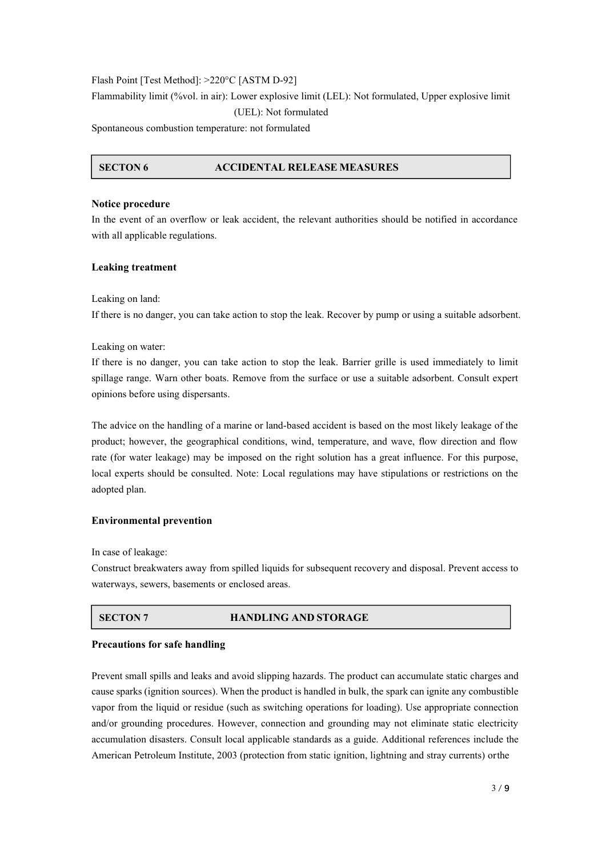Flash Point [Test Method]: >220°C [ASTM D-92]

Flammability limit (%vol. in air): Lower explosive limit (LEL): Not formulated, Upper explosive limit (UEL): Not formulated

Spontaneous combustion temperature: not formulated

### **SECTON 6 ACCIDENTAL RELEASE MEASURES**

### **Notice procedure**

In the event of an overflow or leak accident, the relevant authorities should be notified in accordance with all applicable regulations.

# **Leaking treatment**

Leaking on land:

If there is no danger, you can take action to stop the leak. Recover by pump or using a suitable adsorbent.

Leaking on water:

If there is no danger, you can take action to stop the leak. Barrier grille is used immediately to limit spillage range. Warn other boats. Remove from the surface or use a suitable adsorbent. Consult expert opinions before using dispersants.

The advice on the handling of a marine or land-based accident is based on the most likely leakage of the product; however, the geographical conditions, wind, temperature, and wave, flow direction and flow rate (for water leakage) may be imposed on the right solution has a great influence. For this purpose, local experts should be consulted. Note: Local regulations may have stipulations or restrictions on the adopted plan.

# **Environmental prevention**

In case of leakage:

Construct breakwaters away from spilled liquids for subsequent recovery and disposal. Prevent access to waterways, sewers, basements or enclosed areas.

# **SECTON 7 HANDLING AND STORAGE**

### **Precautions for safe handling**

Prevent small spills and leaks and avoid slipping hazards. The product can accumulate static charges and cause sparks (ignition sources). When the product is handled in bulk, the spark can ignite any combustible vapor from the liquid or residue (such as switching operations for loading). Use appropriate connection and/or grounding procedures. However, connection and grounding may not eliminate static electricity accumulation disasters. Consult local applicable standards as a guide. Additional references include the American Petroleum Institute, 2003 (protection from static ignition, lightning and stray currents) orthe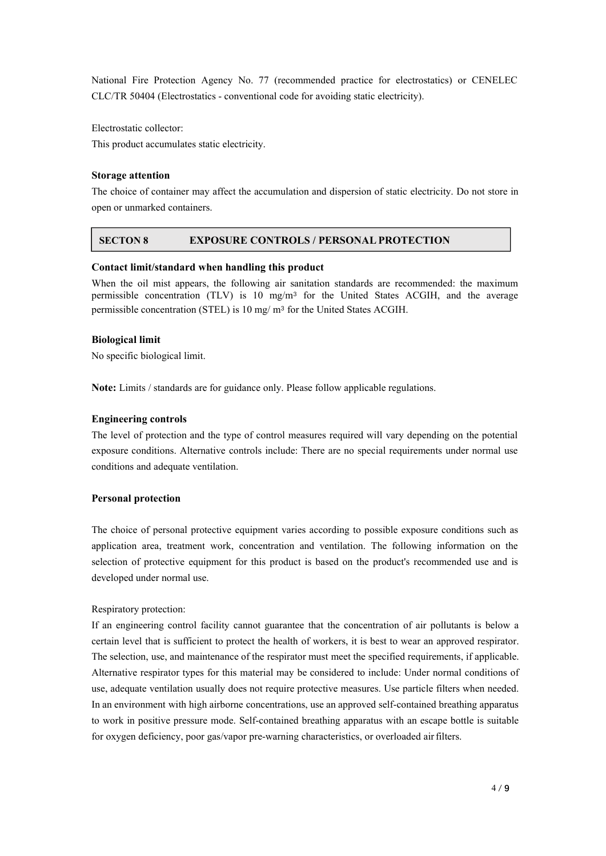National Fire Protection Agency No. 77 (recommended practice for electrostatics) or CENELEC CLC/TR 50404 (Electrostatics - conventional code for avoiding static electricity).

Electrostatic collector:

This product accumulates static electricity.

#### **Storage attention**

The choice of container may affect the accumulation and dispersion of static electricity. Do not store in open or unmarked containers.

# **SECTON 8 EXPOSURE CONTROLS / PERSONAL PROTECTION**

#### **Contact limit/standard when handling this product**

When the oil mist appears, the following air sanitation standards are recommended: the maximum permissible concentration (TLV) is 10 mg/m<sup>3</sup> for the United States ACGIH, and the average permissible concentration (STEL) is 10 mg/ m³ for the United States ACGIH.

#### **Biological limit**

No specific biological limit.

**Note:** Limits / standards are for guidance only. Please follow applicable regulations.

#### **Engineering controls**

The level of protection and the type of control measures required will vary depending on the potential exposure conditions. Alternative controls include: There are no special requirements under normal use conditions and adequate ventilation.

#### **Personal protection**

The choice of personal protective equipment varies according to possible exposure conditions such as application area, treatment work, concentration and ventilation. The following information on the selection of protective equipment for this product is based on the product's recommended use and is developed under normal use.

#### Respiratory protection:

If an engineering control facility cannot guarantee that the concentration of air pollutants is below a certain level that is sufficient to protect the health of workers, it is best to wear an approved respirator. The selection, use, and maintenance of the respirator must meet the specified requirements, if applicable. Alternative respirator types for this material may be considered to include: Under normal conditions of use, adequate ventilation usually does not require protective measures. Use particle filters when needed. In an environment with high airborne concentrations, use an approved self-contained breathing apparatus to work in positive pressure mode. Self-contained breathing apparatus with an escape bottle is suitable for oxygen deficiency, poor gas/vapor pre-warning characteristics, or overloaded airfilters.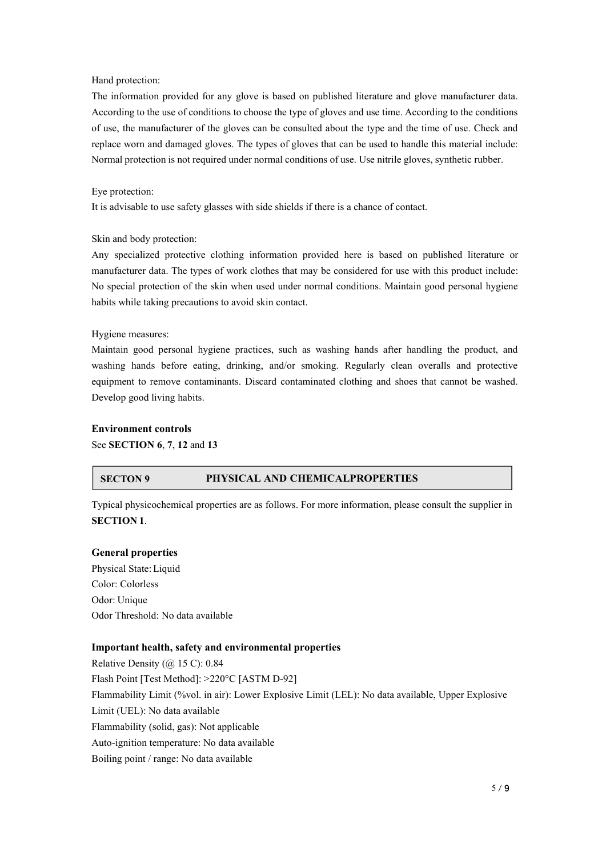#### Hand protection:

The information provided for any glove isbased on published literature and glove manufacturer data. According to the use of conditions to choose the type of gloves and use time. According to the conditions of use, the manufacturer of the gloves can be consulted about the type and the time of use. Check and replace worn and damaged gloves. The types of gloves that can be used to handle this material include: Normal protection is not required under normal conditions of use. Use nitrile gloves, synthetic rubber.

#### Eye protection:

It is advisable to use safety glasses with side shields if there is a chance of contact.

#### Skin and body protection:

Any specialized protective clothing information provided here is based on published literature or manufacturer data. The types of work clothes that may be considered for use with this product include: No special protection of the skin when used under normal conditions. Maintain good personal hygiene habits while taking precautions to avoid skin contact.

#### Hygiene measures:

Maintain good personal hygiene practices, such as washing hands after handling the product, and washing hands before eating, drinking, and/or smoking. Regularly clean overalls and protective equipment to remove contaminants. Discard contaminated clothing and shoes that cannot be washed. Develop good living habits.

#### **Environment controls**

See **SECTION 6**, **7**, **12** and **13**

### **SECTON 9 PHYSICAL AND CHEMICALPROPERTIES**

Typical physicochemical properties are as follows. For more information, please consult the supplier in **SECTION 1**.

#### **General properties**

Physical State:Liquid Color: Colorless Odor: Unique Odor Threshold: No data available

### **Important health, safety and environmental properties**

Relative Density  $(Q)$  15 C): 0.84 Flash Point [Test Method]: >220°C [ASTM D-92] Flammability Limit (%vol. in air): Lower Explosive Limit (LEL): No data available, Upper Explosive Limit (UEL): No data available Flammability (solid, gas): Not applicable Auto-ignition temperature: No data available Boiling point / range: No data available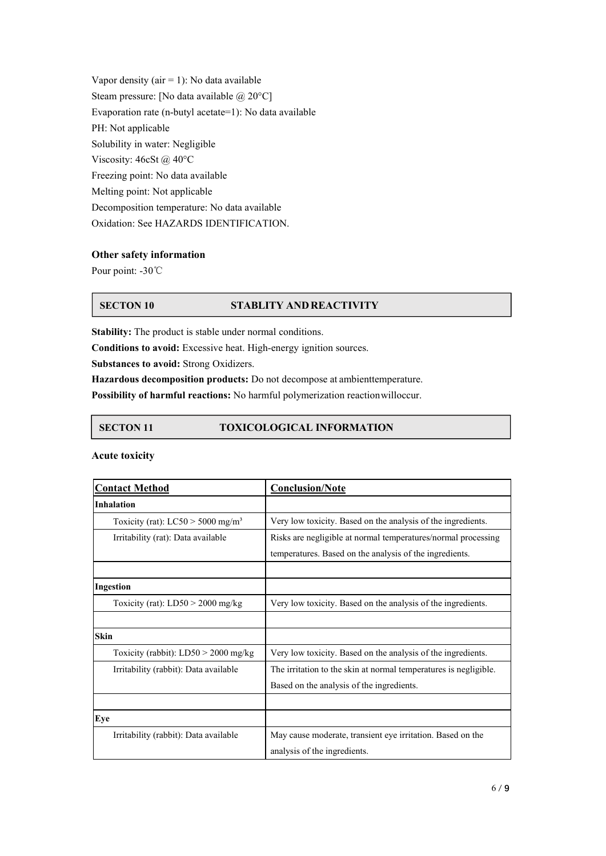Vapor density ( $air = 1$ ): No data available Steam pressure: [No data available @ 20°C] Evaporation rate (n-butyl acetate=1): No data available PH: Not applicable Solubility in water: Negligible Viscosity: 46cSt @ 40°C Freezing point: No data available Melting point: Not applicable Decomposition temperature: No data available Oxidation: See HAZARDS IDENTIFICATION.

# **Other safety information**

Pour point: -30℃

# **SECTON 10 STABLITY ANDREACTIVITY**

**Stability:** The product is stable under normal conditions.

**Conditions to avoid:** Excessive heat. High-energy ignition sources.

**Substances to avoid:** Strong Oxidizers.

**Hazardous decomposition products:** Do not decompose at ambienttemperature.

**Possibility of harmful reactions:** No harmful polymerization reactionwilloccur.

# **SECTON 11 TOXICOLOGICAL INFORMATION**

#### **Acute toxicity**

| <b>Contact Method</b>                           | <b>Conclusion/Note</b>                                           |
|-------------------------------------------------|------------------------------------------------------------------|
| Inhalation                                      |                                                                  |
| Toxicity (rat): $LC50 > 5000$ mg/m <sup>3</sup> | Very low toxicity. Based on the analysis of the ingredients.     |
| Irritability (rat): Data available              | Risks are negligible at normal temperatures/normal processing    |
|                                                 | temperatures. Based on the analysis of the ingredients.          |
|                                                 |                                                                  |
| Ingestion                                       |                                                                  |
| Toxicity (rat): $LD50 > 2000$ mg/kg             | Very low toxicity. Based on the analysis of the ingredients.     |
|                                                 |                                                                  |
| Skin                                            |                                                                  |
| Toxicity (rabbit): $LD50 > 2000$ mg/kg          | Very low toxicity. Based on the analysis of the ingredients.     |
| Irritability (rabbit): Data available           | The irritation to the skin at normal temperatures is negligible. |
|                                                 | Based on the analysis of the ingredients.                        |
|                                                 |                                                                  |
| Eye                                             |                                                                  |
| Irritability (rabbit): Data available           | May cause moderate, transient eye irritation. Based on the       |
|                                                 | analysis of the ingredients.                                     |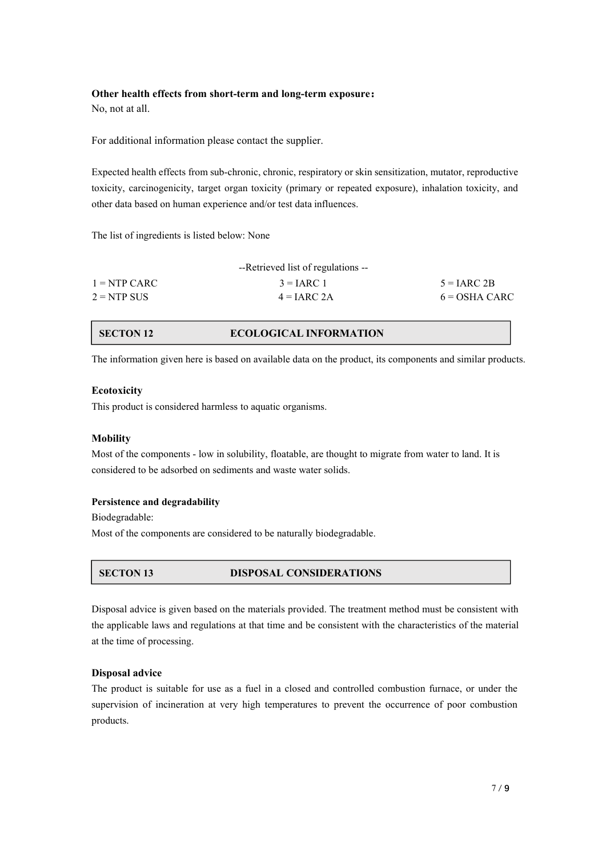### **Other health effects from short-term and long-term exposure:**

No, not at all.

For additional information please contact the supplier.

Expected health effects from sub-chronic, chronic, respiratory or skin sensitization, mutator, reproductive toxicity, carcinogenicity, target organ toxicity (primary or repeated exposure), inhalation toxicity, and other data based on human experience and/or test data influences.

The list of ingredients is listed below: None

|                | --Retrieved list of regulations -- |                 |
|----------------|------------------------------------|-----------------|
| $1 = NTP CARC$ | $3 = IARC$ 1                       | $5 = IARC 2B$   |
| $2 = NTP$ SUS  | $4 = IARC 2A$                      | $6 = OSHA CARC$ |

# **SECTON 12 ECOLOGICAL INFORMATION**

The information given here is based on available data on the product, its components and similar products.

# **Ecotoxicity**

This product is considered harmless to aquatic organisms.

### **Mobility**

Most of the components - low in solubility, floatable, are thought to migrate from water to land. It is considered to be adsorbed on sediments and waste water solids.

### **Persistence and degradability**

Biodegradable:

Most of the components are considered to be naturally biodegradable.

# **SECTON 13 DISPOSAL CONSIDERATIONS**

Disposal advice is given based on the materials provided. The treatment method must be consistent with the applicable laws and regulations at that time and be consistent with the characteristics of the material at the time of processing.

# **Disposal advice**

The product is suitable for use as a fuel in a closed and controlled combustion furnace, or under the supervision of incineration at very high temperatures to prevent the occurrence of poor combustion products.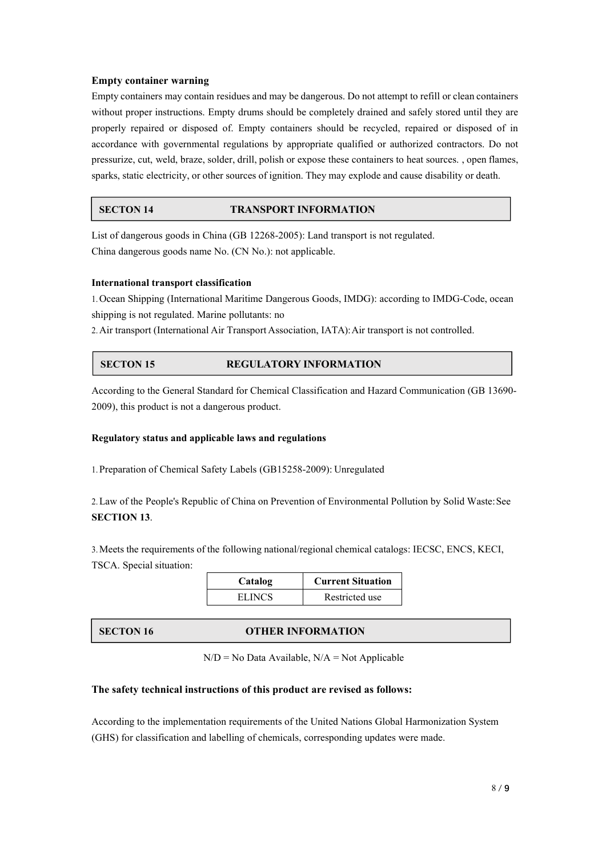### **Empty container warning**

Empty containers may contain residues and may be dangerous. Do not attempt to refill or clean containers without proper instructions. Empty drums should be completely drained and safely stored until they are properly repaired or disposed of. Empty containers should be recycled, repaired or disposed of in accordance with governmental regulations by appropriate qualified or authorized contractors. Do not pressurize, cut, weld, braze, solder, drill, polish or expose these containers to heat sources. , open flames, sparks, static electricity, or other sources ofignition. They may explode and cause disability or death.

# **SECTON 14 TRANSPORT INFORMATION**

List of dangerous goods in China (GB 12268-2005): Land transport is not regulated. China dangerous goods name No. (CN No.): not applicable.

# **International transport classification**

1.Ocean Shipping (International Maritime Dangerous Goods, IMDG): according to IMDG-Code, ocean shipping is not regulated. Marine pollutants: no

2. Air transport (International Air Transport Association, IATA): Air transport is not controlled.

# **SECTON 15 REGULATORY INFORMATION**

According to the General Standard for Chemical Classification and Hazard Communication (GB 13690- 2009), this product is not a dangerous product.

### **Regulatory status and applicable laws and regulations**

1.Preparation of Chemical Safety Labels (GB15258-2009): Unregulated

2.Law of the People's Republic of China on Prevention of Environmental Pollution by Solid Waste:See **SECTION 13**.

3.Meets the requirements of the following national/regional chemical catalogs: IECSC, ENCS, KECI, TSCA. Special situation:

| Catalog       | <b>Current Situation</b> |
|---------------|--------------------------|
| <b>ELINCS</b> | Restricted use           |

### **SECTON 16 OTHER INFORMATION**

 $N/D = No$  Data Available,  $N/A = Not$  Applicable

### **The safety technical instructions ofthis product are revised as follows:**

According to the implementation requirements of the United Nations Global Harmonization System (GHS) for classification and labelling of chemicals, corresponding updates were made.